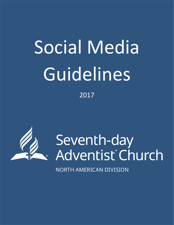# Social Media Guidelines

2017



Seventh-day<br>Adventist Church

**NORTH AMERICAN DIVISION**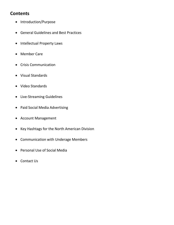# **Contents**

- Introduction/Purpose
- General Guidelines and Best Practices
- Intellectual Property Laws
- Member Care
- Crisis Communication
- Visual Standards
- Video Standards
- Live-Streaming Guidelines
- Paid Social Media Advertising
- Account Management
- Key Hashtags for the North American Division
- Communication with Underage Members
- Personal Use of Social Media
- Contact Us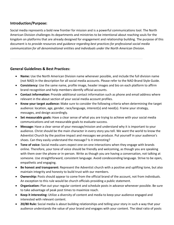# **Introduction/Purpose:**

Social media represents a bold new frontier for mission and is a powerful communications tool. The North American Division challenges its departments and ministries to be intentional about reaching souls for the kingdom on platforms that are already designed for engagement and relationship building. The purpose of this document is to *provide resources and guidance regarding best practices for professional social media communication for all denominational entities and individuals under the North American Division*.

#### **General Guidelines & Best Practices:**

- **Name:** Use the North American Division name whenever possible, and include the full division name (not NAD) in the description for all social media accounts. Please refer to the NAD Brand Style Guide.
- **Consistency:** Use the same name, profile image, header images and bio on each platform to affirm brand recognition and help members identify official accounts.
- **Contact information:** Provide additional contact information such as phone and email address where relevant in the about section of your social media account profiles.
- **Know your target audience:** Make sure to consider the following criteria when determining the target audience: location, age, gender, race/language, interest(s) and need(s). Frame your strategy, messages, and design accordingly.
- **Set measurable goals:** Have a clear sense of what you are trying to achieve with your social media communications and set measurable goals to evaluate success.
- **Message:** Have a clear sense of your message/mission and understand why it is important to your audience. Christ should be the main character in every story you tell. We want the world to know the Adventist Church by the positive impact and messages we produce. Put yourself in your audience's shoes. Can they easily understand the message? Is it interesting?
- **Tone of voice:** Social media users expect one-on-one interactions when they engage with brands online. Therefore, your tone of voice should be friendly and welcoming, as though you are speaking with them over the phone or in-person. Write as though you are having a conversation, not talking at someone. Use straightforward, consistent language. Avoid condescending language. Strive to be open, empathetic and engaging.
- **Be honest and transparent:** Represent the Adventist church with a positive and uplifting tone, but also maintain integrity and honesty to build trust with our members.
- **Ownership:** Posts should appear to come from the official brand of the account, not from individuals. An exception to this rule would be church officials providing a public statement.
- **Organization:** Plan out your regular content and schedule posts in advance whenever possible. Be sure to take advantage of peak post times to maximize reach.
- **Keep it interesting:** Utilize a diversity of content and media to keep your audience engaged and interested with relevant content.
- **20/80 Rule:** Social media is about building relationships and telling your story in such a way that your audience understands the value of your brand and engages with your content. The ideal ratio of posts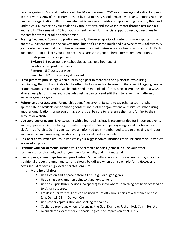on an organization's social media should be 80% engagement, 20% sales messages (aka direct appeals). In other words, 80% of the content posted by your ministry should engage your fans, demonstrate the need your organization fulfills, share what initiatives your ministry is implementing to satisfy this need, update your audience on your goals and various efforts, and showcase impact through testimonials and results. The remaining 20% of your content can ask for financial support directly, direct fans to register for events, or take another action.

- **Posting frequency:** Commit to posting regularly. However, quality of content is more important than quantity. Stay engaged in the conversation, but don't post too much and overwhelm your followers. A good cadence is one that maximizes engagement and minimizes unsubscribes on your accounts. Each audience is unique; learn your audience. These are some general frequency recommendations.
	- o **Instagram:** 3-5 posts per week
	- o **Twitter:** 1-5 posts per day (scheduled at least one hour apart)
	- o **Facebook:** 3-5 posts per week
	- o **Pinterest:** 5-7 posts per week
	- o **Snapchat:** 1-2 posts per day if relevant
- **Cross-platform publishing:** When publishing a post to more than one platform, avoid using terminology that isn't applicable to the other platforms such a Retweet or Share. Avoid tagging people or organizations in posts that will be published on multiple platforms, since usernames don't always align across platforms. Instead, schedule posts separately and edit them to reflect the platform on which they will appear.
- **Reference other accounts:** Partnerships benefit everyone! Be sure to tag other accounts (when appropriate or available) when sharing content about other organizations or ministries. When using another organization's or person's image or article, be sure to reference them and/or link to their account or website.
- **Live coverage of events:** Live-tweeting with a branded hashtag is recommended for important events and key speakers. Be sure to tag or quote the speaker. Post compelling images and quotes on your platforms of choice. During events, have an informed team member dedicated to engaging with your audience live and answering questions on your social media channels.
- **Link back to your website:** Your website is your biggest communications tool; link back to your website in almost all posts.
- **Promote your social media:** Include your social media handles (names) in all of your other communication channels, such as your website, emails, and print material.
- **Use proper grammar, spelling and punctuation:** Some cultural norms for social media may stray from traditional proper grammar and can and should be utilized when using each platform. However, all posts should reflect a high level of professionalism.
	- o **More helpful tips:**
		- Use a colon and a space before a link. (e.g. Read: goo.gl/ABCD)
		- Use a single exclamation point to signal excitement.
		- Use an ellipsis (three periods, no spaces) to show where something has been omitted or to signal suspense.
		- Em dashes or vertical lines can be used to set off various parts of a sentence or post. (e.g. Oct. 13-16 l Denver, Co)
		- Use proper capitalization and spelling for names.
		- Capitalize pronouns when referencing the God. Example: Father, Holy Spirit, He, etc.
		- Avoid all caps, except for emphasis. It gives the impression of YELLING.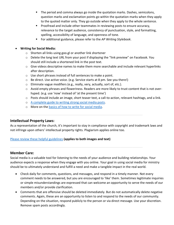- The period and comma always go inside the quotation marks. Dashes, semicolons, question marks and exclamation points go within the quotation marks when they apply to the quoted matter only. They go outside when they apply to the whole sentence.
- Proofread and include other teammates in reviewing posts to ensure accuracy, relevance to the target audience, consistency of punctuation, style, and formatting, spelling, accessibility of language, and openness of tone.
- For additional guidance, please refer to the *AP Writing Stylebook*.

#### • **Writing for Social Media:**

- o Shorten all links using goo.gl or another link shortener
- o Delete the long text URL from your post if displaying the "link preview" on Facebook. You should still include a shortened link in the post text.
- $\circ$  Give videos descriptive names to make them more searchable and include relevant hyperlinks after description.
- o Use short phrases instead of full sentences to make a point.
- o Be direct. Use active voice. (e.g. Service starts at 8 pm. See you there!)
- o Eliminate vague modifiers (e.g., really, very, actually, sort of, etc.).
- o Avoid empty phrases and floweriness. Readers are more likely to trust content that is not overhyped. (e.g. use 'now' instead of 'at the present time')
- $\circ$  Posts should include an image, short teaser text, a call-to-action, relevant hashtags, and a link.
- o A [complete guide to writing strong social media posts.](http://www.sdadata.org/uploads/8/1/9/8/81986746/mca_perfect-posts-updated_2016-07-01_v1_sd-1.png)
- o More on the [basics of how to write for social media.](http://www.sdadata.org/uploads/8/1/9/8/81986746/social_media_101_-_session_3.pptx)

# **Intellectual Property Laws:**

As a representation of the church, it's important to stay in compliance with copyright and trademark laws and not infringe upon others' intellectual property rights. Plagiarism applies online too.

#### [Please review these helpful guidelines](http://www.sdadata.org/uploads/8/1/9/8/81986746/copyright_and_trademark_basics_updated_112816.pdf) **(applies to both images and text)**

#### **Member Care:**

Social media is a valuable tool for listening to the needs of your audience and building relationships. Your audience expects a response when they engage with you online. Your goal in using social media for ministry should be to ultimately understand and fulfill a need and make a tangible impact in the real world.

- Check daily for comments, questions, and messages, and respond in a timely manner. Not every comment needs to be answered, but you are encouraged to 'like' them. Sometimes legitimate inquiries or simple misunderstandings are expressed that can welcome an opportunity to serve the needs of our members and/or provide clarification.
- Comments that are offensive should be deleted immediately. But do not automatically delete negative comments. Again, these are an opportunity to listen to and respond to the needs of our community. Depending on the situation, respond publicly to the person or via direct message. Use your discretion. Remove spam posts accordingly.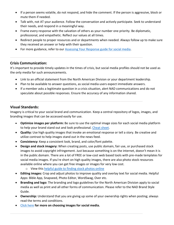- If a person seems volatile, do not respond, and hide the comment. If the person is aggressive, block or mute them if needed.
- Talk with, not AT your audience. Follow the conversation and actively participate. Seek to understand their needs, and respond in a meaningful way.
- Frame every response with the salvation of others as your number one priority. Be diplomatic, professional, and empathetic. Reflect our values at all times.
- Redirect people to proper resources and or departments when needed. Always follow up to make sure they received an answer or help with their question.
- For more guidance, refer to our [Assessing Your Response guide for social media.](http://www.sdadata.org/uploads/8/1/9/8/81986746/assessing_your_response_final_051817.png)

#### **Crisis Communication:**

It's important to provide timely updates in the times of crisis, but social media profiles should not be used as the only media for such announcements.

- Link to an official statement from the North American Division or your department leadership.
- Plan to be available to answer questions, as social media users expect immediate answers.
- If a member asks a legitimate question in a crisis situation, alert NAD communications and do not speculate about possible responses. Ensure the accuracy of any information shared.

#### **Visual Standards:**

Imagery is critical to your social brand and communication. Keep a central repository of logos, images, and branding images that can be accessed easily for use.

- **Optimize images per platform:** Be sure to use the optimal image sizes for each social media platform to help your brand stand out and look professional. [Cheat sheet.](http://www.sdadata.org/uploads/8/1/9/8/81986746/2017-sizing-for-social-media-infographic-tip-sheet-by-spredfast.jpg)
- **Quality:** Use high quality images that invoke an emotional response or tell a story. Be creative and utilize contrast to help images stand out in the news feed.
- **Consistency:** Keep a consistent look, brand, and color/font palette.
- **Design and stock imagery:** When creating posts, use public domain, fair use, or purchased stock images to avoid copyright infringement. Just because something is on the internet, doesn't mean it is in the public domain. There are a lot of FREE or low-cost web based tools with pre-made templates for social media images. If you're short on high quality images, there are also photo stock resources available online where you can get free images or images for very low cost.
	- o View this [helpful guide to finding stock photos online](http://www.sdadata.org/blog/how-and-where-to-find-free-stock-photos)
- **Editing images:** Crop and adjust photos to improve quality and overlay text for social media. Helpful Apps: Bible App, Snapseed, Photo Editor, WordSwag, Over etc.
- **Branding and logo:** The branding and logo guidelines for the North American Division apply to social media as well as print and all other forms of communication. Please refer to the NAD Brand Style Guide.
- **Ownership:** Understand that you are giving up some of your ownership rights when posting; always read the terms and conditions.
- [Click here](http://www.sdadata.org/uploads/8/1/9/8/81986746/social_media_101_-_session_4.pptx) **for more on choosing images for social media.**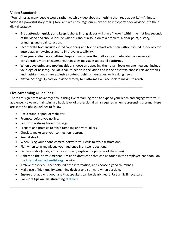# **Video Standards:**

"Four times as many people would rather watch a video about something than read about it." – Animoto. Video is a powerful story-telling tool, and we encourage our ministries to incorporate social video into their digital strategy.

- **Grab attention quickly and keep it short:** Strong videos will place "hooks" within the first few seconds of the video and should include what it's about, a solution to a problem, a clear point, a story, branding, and a call-to-action.
- **Incorporate text:** Include closed captioning and text to attract attention without sound, especially for auto plays in newsfeeds and to improve accessibility.
- **Give your audience something:** Inspirational videos that tell a story or educate the viewer get considerably more engagements than sales messages across all platforms.
- **When developing and posting video:** choose an appealing thumbnail, focus on one message, include your logo or hashtag, include a call-to-action in the video and in the post text, choose relevant topics and hashtags, and share exclusive content (behind-the-scenes) or breaking news.
- **Native hosting:** Upload your video directly to platforms like Facebook to maximize reach.

#### **Live-Streaming Guidelines:**

There are significant advantages to utilizing live-streaming tools to expand your reach and engage with your audience. However, maintaining a basic level of professionalism is required when representing a brand. Here are some helpful guidelines to follow:

- Use a stand, tripod, or stabilizer.
- Promote before you go live.
- Post with a strong teaser message.
- Prepare and practice to avoid rambling and vocal fillers.
- Check to make sure your connection is strong.
- Keep it short.
- When using your phone camera, forward your calls to avoid distractions.
- Plan when to acknowledge your audience & answer questions.
- Be personable (smile, introduce yourself, explain the purpose of the video).
- Adhere to the North American Division's dress code that can be found in the employee handbook on the **internal.nad.adventist.org** website.
- Archive the video (Facebook), edit the information, and choose a good thumbnail.
- Make use of high-quality streaming devices and software when possible.
- Ensure that audio is good, and that speakers can be clearly heard. Use a mic if necessary.
- **For more tips on live-streaming** [click here](http://www.sdadata.org/uploads/8/1/9/8/81986746/social_media_101_-_session_4.pptx)**.**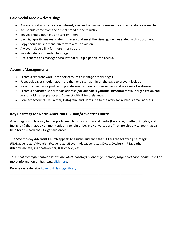#### **Paid Social Media Advertising:**

- Always target ads by location, interest, age, and language to ensure the correct audience is reached.
- Ads should come from the official brand of the ministry.
- Images should not have any text on them.
- Use high quality images or stock imagery that meet the visual guidelines stated in this document.
- Copy should be short and direct with a call-to-action.
- Always include a link for more information.
- Include relevant branded hashtags
- Use a shared ads manager account that multiple people can access.

#### **Account Management:**

- Create a separate work Facebook account to manage official pages.
- Facebook pages should have more than one staff admin on the page to prevent lock-out.
- Never connect work profiles to private email addresses or even personal work email addresses.
- Create a dedicated social media address (**socialmedia@yourministry.com**) for your organization and grant multiple people access. Connect with IT for assistance.
- Connect accounts like Twitter, Instagram, and Hootsuite to the work social media email address.

#### **Key Hashtags for North American Division/Adventist Church:**

A hashtag is simply a way for people to search for posts on social media (Facebook, Twitter, Google+, and Instagram) that have a common topic and to join or begin a conversation. They are also a vital tool that can help brands reach their target audiences.

The Seventh-day Adventist Church appeals to a niche audience that utilizes the following hashtags: #NADadventist, #Adventist, #Adventista, #Seventhdayadventist, #SDA, #SDAchurch, #Sabbath, #HappySabbath, #Sabbathkeeper, #Haystacks, etc.

*This is not a comprehensive list; explore which hashtags relate to your brand, target audience, or ministry.* For more information on hashtags[, click here.](http://www.sdadata.org/uploads/8/1/9/8/81986746/social_media_101_-_session_2.pptx)

Browse our extensive [Adventist Hashtag Library.](http://www.sdadata.org/uploads/8/1/9/8/81986746/nad_hashtaglibrary.pptx)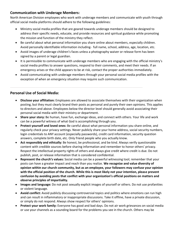## **Communication with Underage Members:**

North American Division employees who work with underage members and communicate with youth through official social media platforms should adhere to the following guidelines:

- Ministry social media profiles that are geared towards underage members should be designed to address their specific needs, educate, and provide resources and spiritual guidance while promoting the mission and function of the ministry they reflect.
- Be careful about what personal information you share online about members, especially children. Avoid personally identifiable information including- full name, school, address, age, location, etc.
- Avoid images of underage children's faces unless a photography waiver or release form has been signed by a parent or legal guardian.
- It is permissible to communicate with underage members who are engaging with the official ministry's social media profiles to answer questions, respond to their comments, and meet their needs. If an emergency arises or the child appears to be at risk, contact the proper authorities immediately.
- Avoid communicating with underage members through your personal social media profiles with the exception of when an emergency situation may require such communication.

# **Personal Use of Social Media:**

- **Disclose your affiliation:** Employees are allowed to associate themselves with their organization when posting, but they must clearly brand their posts as personal and purely their own opinions. This applies to directors and above. Employees below the director level should generally avoid associating their personal social media with their ministry or department.
- **Share your story:** Be human, have fun, exchange ideas, and connect with others. Your life and work can be a powerful witness of what God is accomplishing through you.
- **Protect yourself and loved ones:** Be careful about what personal information you share online, and regularly check your privacy settings. Never publicly share your home address, social security numbers, login credentials to ANY account (especially passwords), credit card information, security question answers, complete birth date, etc. Only friend people who you actually know.
- **Act responsibly and ethically:** Be honest, be professional, and be kind. Always verify questionable content with credible sources before sharing information and remember to honor others' privacy. Respect the intellectual property rights of others and always give credit where credit is due. Do not publish, post, or release information that is considered confidential.
- **Represent the church's values:** Social media can be a powerful witnessing tool; remember that your posts can have a greater impact and reach than you realize. **We recognize and value diversity of opinion within our church community, but as an employee, your followers may confuse your opinion with the official position of the church. While this is most likely not your intention, please prevent confusion by avoiding posts that conflict with your organization's official positions on matters and observe principles of impartiality.**
- **Images and language:** Do not post sexually explicit images of yourself or others. Do not use profanities or violent language.
- **Avoid conflict:** Avoid publicly discussing controversial topics and politics where emotions can run high and can result in inflammatory or inappropriate discussions. Take it offline, have a private discussion, or simply do not respond. Always show respect for others' opinions.
- **Protect your work family:** Everyone has good and bad days. Do not air work grievances on social media or use your channels as a sounding board for the problems you see in the church. Others may be